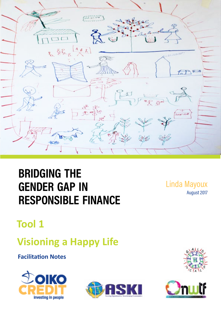

# **bridging the gender gap in responsible finance**

Linda Mayoux August 2017

## **Tool 1**

## **Visioning a Happy Life**

**Facilitation Notes**







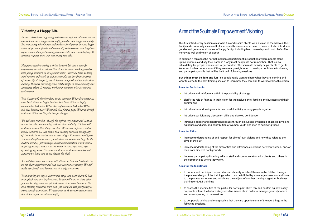#### **Visioning a Happy Life**

*Business development - growing businesses through microfinance - are a means to an end - happy clients, happy families and happy community. But translating microfinance and business development into this bigger vision of personal, family and community empowerment and happiness requires more than just learning business skills and record-keeping. It certainly requires more than just getting into debt.*

*Happiness requires having a vision for one's life, and a plan for empowering oneself to achieve that vision. It means working together with family members on an equitable basis - where all those working hard (women and youth as well as men) also see just fruits in terms of ownership of property, use of income and participation in decisionmaking. It means cherishing social relationships in the community and supporting others. It requires working in harmony with the natural environment.*

*This Session will therefore focus on the question: What does happiness look like? What do happy families look like? What do happy communities look like? What does empowerment look like? What role does business play? What role does finance play? What is already achieved? What are the priorities for change?*

*We will have some fun - though the topic is very serious and asks us to question what we are doing with our lives and why. Visions will be drawn because then things are clear. We dream in pictures not in words. Research has also shown that drawing increases the capacity of the brain to be creative and do new things - it increases intelligence. You can also fit many more symbols than words onto one page. In the modern world of fast messages, visual cummunication is now central to getting messages across - no one wants to read pages and pages of writing any more. Everyone can draw - we draw as children but somehow we forget and do not develop the skill.*

- **•** introduce and reinforce a faith in the possibility of change
- clarify the role of finance in their vision for themselves, their families, the business and their communiy;
- introduce basic drawing as a fun and useful activity to bring people together
- introduce participatory discussion skills and develop confidence
- **•** introduce gender and generational issues through discussing ownership of assets in visions eg houses and cars, and contribution of women, youth and men to achieving these

*We will then share our visions with others - to find our 'soulmates' so we can share experiences and help each other on the journey. We will make new friends and become part of a bigger network.*

- **•** increase understanding of and respect for clients' own visions and how they relate to the aims of the FSP
- men from different backgrounds
- improve participatory listening skills of staff and communication with clients and others in the communities where they work.

*Then drawing are easy to convert into songs and dance that will keep us inspired, and also inspire others. So you will want to share what you are learning when you get back home. And want to come to the next training sessions to learn how you can plan with your family to work towards your vision. We even want to do our own song around this vision so you can all leave happy.*



### Aims of the Soulmate Empowerment Visioning

This first introductory session aims to be fun and inspire clients with a vision of themselves, their family and community as a result of successful business and access to finance. It also introduces gender and generational issues in 'happy family' including land ownership and control of coffee money as well as division of labour.

In addition it replaces the normal mechanical participant introductions where people stand up like dummies and say their name in a way most people do not remember. That is also intimidating for people who are not very confident. The soulmate activity helps clients to get to know each other better - even if they are already neighbours. It develops confidence in drawing and participatory skills that will be built on in following sessions.

**But things must be light and fun -** so people really want to share what they are learning and want to come to the next training session to learn how they can plan to work towards this vision.

#### **Aims for Participants:**

#### **Aims for FSPs:**

**•** increase understanding of the similarities and differences in visions between women, and/or

#### **Aims for the facilitator:**

the planned design of the trainings, which can be fulfilled by some adjustments or additions

- to understand participant expectations and clarify which of these can be fulfilled through to the planned schedule, and which are the subject of another training - eg other business training or GALS trainings.
- to assess the specificities of the particular participant client mix and context eg how easily do people interact, what are likely sensitive issues etc in order to manage group dynamics and assess pacing of the sessions.
- to get people talking and energised so that they are open to some of the new things in the following sessions.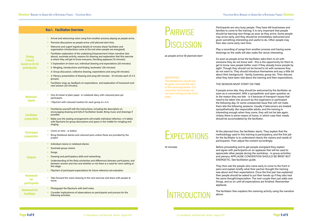|                                                            | <b>Box 1. Facilitation Overview</b>                                                                                                                                                                                                                                                                                                                                                                                                                                                                                                                                                                                                                                                                                                                                                                                                                                                                                                                                                                                                                 | <b>PAIRWISE</b>                                                                                                                                                                                                                                         |
|------------------------------------------------------------|-----------------------------------------------------------------------------------------------------------------------------------------------------------------------------------------------------------------------------------------------------------------------------------------------------------------------------------------------------------------------------------------------------------------------------------------------------------------------------------------------------------------------------------------------------------------------------------------------------------------------------------------------------------------------------------------------------------------------------------------------------------------------------------------------------------------------------------------------------------------------------------------------------------------------------------------------------------------------------------------------------------------------------------------------------|---------------------------------------------------------------------------------------------------------------------------------------------------------------------------------------------------------------------------------------------------------|
| <b>Timing</b><br>3 hours<br>based on 20-30<br>participants | Arrival and welcoming vision song from another process playing as people arrive.<br><b>CO</b><br>Pairwise discussions as people arrive until planned start time.<br>Welcome and urgent logistical details (5 minutes sharp! facilitator and<br><b>CO</b><br>organisation introductions come at the end when people are energised)<br>Facilitator explanation of the underlying Empowerment Vision narrative (see<br>above), soulmate activity, reasons for drawing and explanation that this exercise<br>is where they will get to know everyone. Deciding applause (15 minutes)<br>1: Explanation of vision sun, individual drawing and expectations (20 minutes)<br>a.<br>2: Mingling, introductions and finding 'soulmates' (30 minutes)<br>п.<br>3: Group discussion, collective drawing, expectations and song (40 minutes)<br>٠<br>4: Plenary presentation of drawing and song (50 minutes - 10 minutes each of 4-5<br>groups)<br>Facilitator wrap up, feedback on expectations and explanation of homework and<br>next session (20 minutes). | <b>DISCUSSION</b><br>as people arrive till planned start<br><b>IMPORTANT</b><br><b>The Notebooks should not</b><br>be given out until the start<br>of the visioning below. It is<br>important that people do<br>not start writing on the front<br>page. |
| <b>Materials/</b><br>inputs                                | One A4 sheet of plain paper or notebook diary with coloured pens per<br>$\mathcal{L}$<br>participant.<br>1 flipchart with coloured markers for each group ie x 4-5.                                                                                                                                                                                                                                                                                                                                                                                                                                                                                                                                                                                                                                                                                                                                                                                                                                                                                 |                                                                                                                                                                                                                                                         |
| <b>Facilitator</b><br>preparation                          | Familiarise yourself with the instructions, including the description on<br>encouraging drawing and GALS Facilitation Guide. Bring music and drawings if<br>possible.<br>Make sure the seating arrangements will enable individual reflection, 4-5 tables<br>with flipcharts for group discussions and space in the middle for mingling and<br>singing.                                                                                                                                                                                                                                                                                                                                                                                                                                                                                                                                                                                                                                                                                             |                                                                                                                                                                                                                                                         |
| <b>Participant</b><br>preparation                          | Come on time - or before<br>Bring Notebook diaries and coloured pens unless these are provided by the<br>project                                                                                                                                                                                                                                                                                                                                                                                                                                                                                                                                                                                                                                                                                                                                                                                                                                                                                                                                    | <b>EXPECTATIONS</b>                                                                                                                                                                                                                                     |
| <b>Outputs</b>                                             | Individual visions in notebook diaries<br>Soulmate group visions<br>Songs<br>٠<br>Drawing and participatory skills and networking<br>п<br>Understanding of the likely similarities and differences between participants, and<br>between women and men and whether or not there is a need for norm setting at<br>this stage.<br>Flipchart of participant expectations for future reference ad evaluation                                                                                                                                                                                                                                                                                                                                                                                                                                                                                                                                                                                                                                             | 10 minutes                                                                                                                                                                                                                                              |
| <b>Homework</b><br>for<br><b>participants</b>              | Take forward the vision drawing to the next exercise and share with people at<br>home                                                                                                                                                                                                                                                                                                                                                                                                                                                                                                                                                                                                                                                                                                                                                                                                                                                                                                                                                               |                                                                                                                                                                                                                                                         |
| <b>Homework for</b><br>facilitator                         | Photograph the flipcharts with brief notes<br>Consider implicationns of observations on participants and process for the<br>following activities.                                                                                                                                                                                                                                                                                                                                                                                                                                                                                                                                                                                                                                                                                                                                                                                                                                                                                                   | INTRODUCTION                                                                                                                                                                                                                                            |

Participants are very busy people. They have left businesses and families to come to the training. It is very important that people should be learning new things as soon as they arrive. Some people may arrive early, and they should be immediately welcomed and given something interesting and useful to do. Other people may then also come early next time.

Play a recording of songs from another process and having some drawings on the walls will also make the venue interesting.

As soon as people arrive the facilitator asks them to sit with someone they do not know well - this is the opportunity for them to get to know new people better, even if they already know people by sight. Though they should not be forced to sit with someone they do not want to. They should introduce themselves and say a little bit about their background - family, business, group etc. Then discuss what they have been told about the training and their expectations.

#### THE SESSION MUST START ON TIME

The facilitator then explains the visioning activity using the narrative

If people arrive late, they should be welcomed by the facilitator as soon as is convenient. With a sympathetic and open question as to the reason they are late - is it because of transport issues that need to be taken into account by the organisers or participant the following day. Or some unexpected issue that will not make them late the following sessions. Usually if latecomers are treated sympathetically, like responsible adults, and the training is interesting enough when they come, they will not be late again. Unless there is some reason at home, in which case their needs should be accomodated by the facilitator.

above.

At the planned time, the facilitator starts. They explain that the methodology used in this training is participatory, and the first job for the faciliitator is to understand clearly the visions and needs of participants. Then adjust the content accordingly.

Before proceeding and to get people energised they explain and agree with participants on an applause that will be used to appreciate other people during the workshop - in group activities and plenary. APPLAUSE CONVENTION SHOULD BE BRIEF BUT ENERGETIC. See facilitation guide.

They then ask the people who came early to come to the front in pairs and explain briefly what their partner thought the training was about and their expectations. Once the first pair has explained, then people should be asked to put their hands up if they also had the same thought/expectation. The next couple then just adds new things, and so on until all expectations are finished. Reemember applause.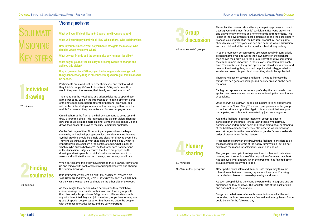# **SOULMATE** Visioning Key steps

Presentations start with the drawing the facilitator considers to be the least complete in terms of the happy family vision (but do not say this is the reason for selection!). vision and end on

The groups come up in turn to present each other and their vision drawing and their estimate of the proportion of farmers they think has achieved what already. When the presenter has finished other group members are invited to add.

Other participants listen and think or note things they think are dfferent from their own drawing/ questions they have. Focusing particularly on issues of ownership, savings and loans.

As each group finishes they hand the pen to the next group and are applauded as they sit down. The facilitator sits at the back or side and does not touch the marker.

Songs can be before or after each presentation, or all at the end, depending on time, how many are finished and energy levels. Some could be left for the following day.

This collective drawing should be a participatory process - it is not a task given to the most 'artistic' participant. Everyone draws, no one draws for anyone else and no one stands in front for long. This is part of the develpment of participation skills and the participatory process is as important as the beautiful product. All participants should make sure everyone can see and hear the whole discussion and is not left out at the back - or just sits back doing nothing.

In each group each person comes up systematically in turn, briefly present themselves and writes their own name on the flipchart, then shows their drawing to the group. They then draw something they think is most important in their vision - something new each time. They make sure the group agrees, and also discuss where and how on the drawing things should be put - what is bigger what is smaller and so on. As people sit down they should be applauded.

Then share ideas on savings and loans - trying to increase the things that can generate savings, and be very precise on the need for loans.

Each group appoints a presenter - preferably the person who has spoken least so everyone has a chance to develop their confidence

at speaking.

Once everything is drawn, people sit in pairs to think about words and tune for a 'Vision Song'. Then each pair presents to the group to decide, refine and practise. Again it is important that everyone participates, and this is not dominated by just one 'songwriter.

Again the facilitator does not intervene, except to ensure participation in the group - encouraging those who normally dominate to 'lead from the back' and those sitting back or standing at the back to come forward. They also observe which drawings seem strongest from the point of view of gender fairness to decide order of presentation for the plenary.

Participants are asked first to close their eyes, and think of what they think 'a happy life' would look like in 5-10 year's time. How would they want themselves, their family and business to be?

Then hand out the notebooks and ask participants to open these at the first page. Explain the importance of keeping different parts of the notebook separate: front for their personal drawings, back will be the pictorial steps for each tool for sharing with others, the middle for notes so they can revise and/or tear out pages later.

On a flipchart at the front of the hall ask someone to come up and draw a large red circle. This represents the big sun vision. Then ask how this could be made more shining. Someone else comes up and draws the lines for the rays of the sun. Remember applause.

On the first page of their Notebook participants draw the large sun circle, and inside it put symbols for the vision images they see. Symbol drawing should be simple and clear, not drawing every hair. They should think about what should be the same colour, what is important/bigger/smaller/in the centre/at edge, what is near to what, maybe arrows between? The facilitator does not intervene in the discussion, but just ensures that there are people on the drawing and asks people to think about issues of ownership of assets and indicate this on the drawings, and savings and loans.

When participants think they have finished their drawing, they stand up and mingle with each other, introducing themselves and sharing their vision drawings.

IT IS IMPORTANT TO KEEP PEOPLE MOVING. THEY NEED TO SHARE WITH EVERYONE, NOT JUST CHAT TO ANY ONE PERSON. Or they miss to meet their soulmate on the other side of the room.

As they mingle they decide which participants they think have vision drawings most similar to their own and form a group with them. Normally this produces 3-5 groups of different views, with any who do not feel they can join the other groups then forming one group of 'special people' together. Say these are often the people with the most innovative ideas, and are very important.

### Vision questions

**What will your life look like in 5-10 years time if you are happy?**

**What will your Happy Family look like? Who is there? Who is doing what?** 

**How is your business? What do you have? Who gets the money? Who decides what? Who owns what?**

**What do your friends and the community environment look like?**

**What do you yourself look like if you are empowered to change and achieve this vision?** 

**Ring in green at least 5 things you think can generate savings - add things if necessary. Ring in blue those things where you think loans will be needed.**

## **1 Individual drawing**

20 minutes



30 minutes



40 minutes in 4-5 groups



50 minutes:

10 -15 minutes: per group